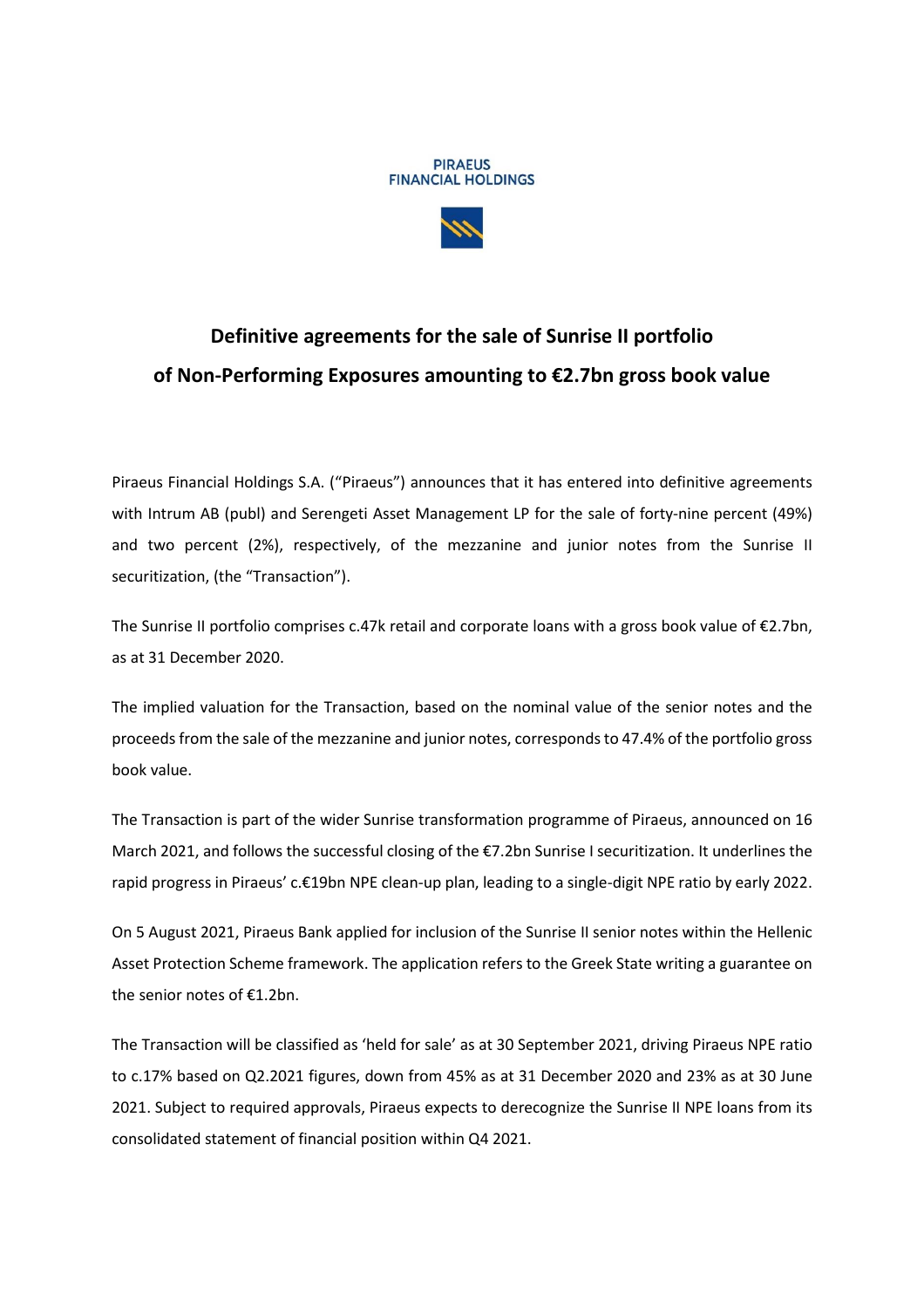



## **Definitive agreements for the sale of Sunrise II portfolio of Non-Performing Exposures amounting to €2.7bn gross book value**

Piraeus Financial Holdings S.A. ("Piraeus") announces that it has entered into definitive agreements with Intrum AB (publ) and Serengeti Asset Management LP for the sale of forty-nine percent (49%) and two percent (2%), respectively, of the mezzanine and junior notes from the Sunrise II securitization, (the "Transaction").

The Sunrise II portfolio comprises c.47k retail and corporate loans with a gross book value of €2.7bn, as at 31 December 2020.

The implied valuation for the Transaction, based on the nominal value of the senior notes and the proceeds from the sale of the mezzanine and junior notes, correspondsto 47.4% of the portfolio gross book value.

The Transaction is part of the wider Sunrise transformation programme of Piraeus, announced on 16 March 2021, and follows the successful closing of the €7.2bn Sunrise I securitization. It underlines the rapid progress in Piraeus' c.€19bn NPE clean-up plan, leading to a single-digit NPE ratio by early 2022.

On 5 August 2021, Piraeus Bank applied for inclusion of the Sunrise II senior notes within the Hellenic Asset Protection Scheme framework. The application refers to the Greek State writing a guarantee on the senior notes of €1.2bn.

The Transaction will be classified as 'held for sale' as at 30 September 2021, driving Piraeus NPE ratio to c.17% based on Q2.2021 figures, down from 45% as at 31 December 2020 and 23% as at 30 June 2021. Subject to required approvals, Piraeus expects to derecognize the Sunrise II NPE loans from its consolidated statement of financial position within Q4 2021.